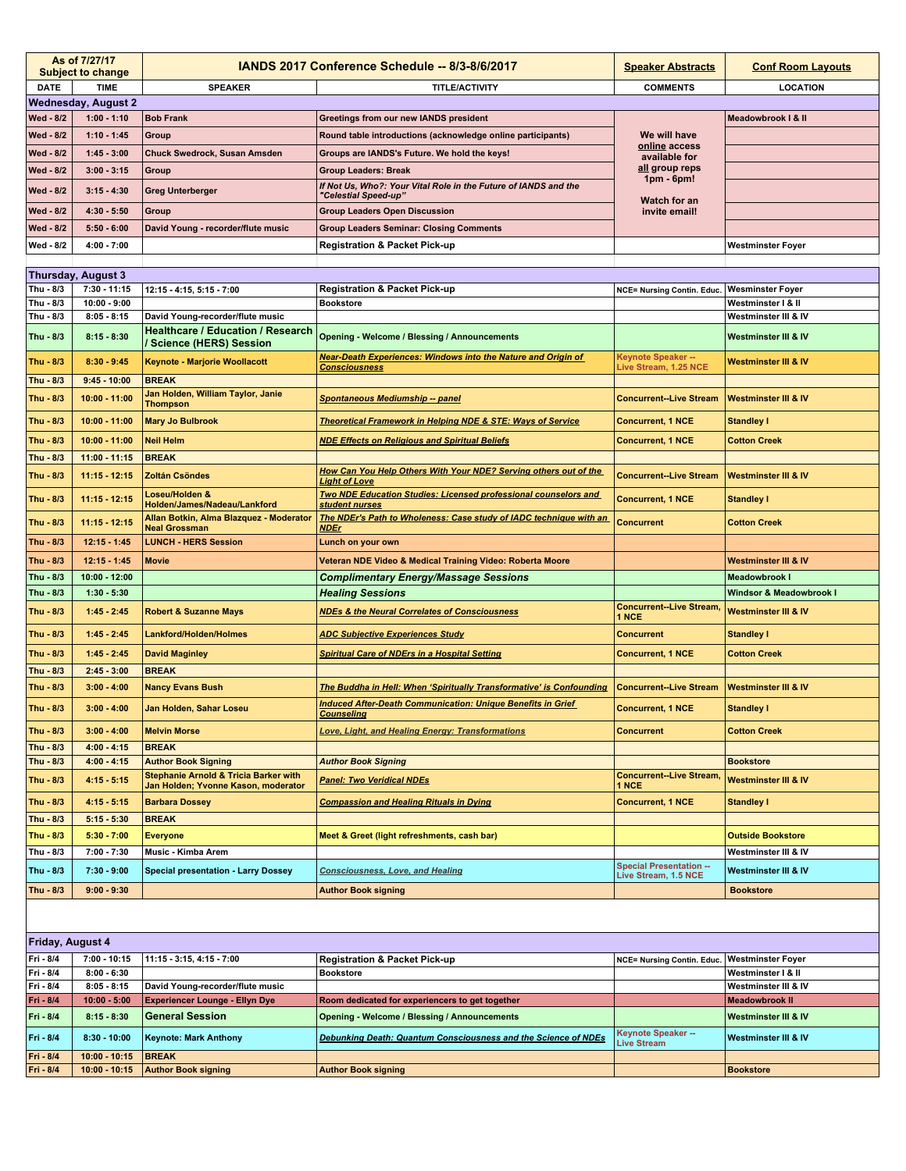|                         | As of 7/27/17<br><b>Subject to change</b> | IANDS 2017 Conference Schedule -- 8/3-8/6/2017                                 |                                                                                              | <b>Speaker Abstracts</b>                               | <b>Conf Room Layouts</b>        |  |  |  |
|-------------------------|-------------------------------------------|--------------------------------------------------------------------------------|----------------------------------------------------------------------------------------------|--------------------------------------------------------|---------------------------------|--|--|--|
| <b>DATE</b>             | <b>TIME</b>                               | <b>SPEAKER</b>                                                                 | <b>TITLE/ACTIVITY</b>                                                                        | <b>COMMENTS</b>                                        | <b>LOCATION</b>                 |  |  |  |
|                         | <b>Wednesday, August 2</b>                |                                                                                |                                                                                              |                                                        |                                 |  |  |  |
| Wed - 8/2               | $1:00 - 1:10$                             | <b>Bob Frank</b>                                                               | Greetings from our new IANDS president                                                       |                                                        | Meadowbrook   & II              |  |  |  |
| Wed - 8/2               | $1:10 - 1:45$                             | Group                                                                          | Round table introductions (acknowledge online participants)                                  | We will have                                           |                                 |  |  |  |
| Wed - 8/2               | $1:45 - 3:00$                             | <b>Chuck Swedrock, Susan Amsden</b>                                            | Groups are IANDS's Future. We hold the keys!                                                 | online access<br>available for                         |                                 |  |  |  |
| <b>Wed - 8/2</b>        | $3:00 - 3:15$                             | Group                                                                          | <b>Group Leaders: Break</b>                                                                  | all group reps                                         |                                 |  |  |  |
| <b>Wed - 8/2</b>        | $3:15 - 4:30$                             | <b>Greg Unterberger</b>                                                        | If Not Us, Who?: Your Vital Role in the Future of IANDS and the<br>"Celestial Speed-up"      | $1pm - 6pm$                                            |                                 |  |  |  |
| <b>Wed - 8/2</b>        | $4:30 - 5:50$                             | Group                                                                          | <b>Group Leaders Open Discussion</b>                                                         | Watch for an<br>invite email!                          |                                 |  |  |  |
| <b>Wed - 8/2</b>        | $5:50 - 6:00$                             | David Young - recorder/flute music                                             | <b>Group Leaders Seminar: Closing Comments</b>                                               |                                                        |                                 |  |  |  |
| Wed - 8/2               | $4:00 - 7:00$                             |                                                                                | <b>Registration &amp; Packet Pick-up</b>                                                     |                                                        | <b>Westminster Foyer</b>        |  |  |  |
|                         |                                           |                                                                                |                                                                                              |                                                        |                                 |  |  |  |
| Thursday, August 3      |                                           |                                                                                |                                                                                              |                                                        |                                 |  |  |  |
| Thu - 8/3               | $7:30 - 11:15$                            | 12:15 - 4:15, 5:15 - 7:00                                                      | <b>Registration &amp; Packet Pick-up</b>                                                     | NCE= Nursing Contin. Educ.                             | <b>Wesminster Foyer</b>         |  |  |  |
| Thu - 8/3               | $10:00 - 9:00$                            |                                                                                | <b>Bookstore</b>                                                                             |                                                        | Westminster I & II              |  |  |  |
| Thu - 8/3               | $8:05 - 8:15$                             | David Young-recorder/flute music                                               |                                                                                              |                                                        | Westminster III & IV            |  |  |  |
| Thu - 8/3               | $8:15 - 8:30$                             | <b>Healthcare / Education / Research</b><br>/ Science (HERS) Session           | <b>Opening - Welcome / Blessing / Announcements</b>                                          |                                                        | Westminster III & IV            |  |  |  |
| Thu - 8/3               | $8:30 - 9:45$                             | Keynote - Marjorie Woollacott                                                  | <b>Near-Death Experiences: Windows into the Nature and Origin of</b><br><b>Consciousness</b> | <b>Keynote Speaker --</b><br>Live Stream, 1.25 NCE     | <b>Westminster III &amp; IV</b> |  |  |  |
| Thu - 8/3               | $9:45 - 10:00$                            | <b>BREAK</b>                                                                   |                                                                                              |                                                        |                                 |  |  |  |
| Thu - 8/3               | $10:00 - 11:00$                           | Jan Holden, William Taylor, Janie<br><b>Thompson</b>                           | <b>Spontaneous Mediumship -- panel</b>                                                       | <b>Concurrent--Live Stream</b>                         | <b>Westminster III &amp; IV</b> |  |  |  |
| Thu 8/3                 | $10:00 - 11:00$                           | <b>Mary Jo Bulbrook</b>                                                        | Theoretical Framework in Helping NDE & STE: Ways of Service                                  | <b>Concurrent, 1 NCE</b>                               | <b>Standley I</b>               |  |  |  |
| Thu - 8/3               | $10:00 - 11:00$                           | <b>Neil Helm</b>                                                               | <b>NDE Effects on Religious and Spiritual Beliefs</b>                                        | <b>Concurrent, 1 NCE</b>                               | <b>Cotton Creek</b>             |  |  |  |
| Thu - 8/3               | $11:00 - 11:15$                           | <b>BREAK</b>                                                                   |                                                                                              |                                                        |                                 |  |  |  |
| Thu - 8/3               | $11:15 - 12:15$                           | <b>Zoltán Csöndes</b>                                                          | How Can You Help Others With Your NDE? Serving others out of the<br><b>Light of Love</b>     | <b>Concurrent--Live Stream</b>                         | <b>Westminster III &amp; IV</b> |  |  |  |
| Thu - 8/3               | $11:15 - 12:15$                           | Loseu/Holden &<br>Holden/James/Nadeau/Lankford                                 | Two NDE Education Studies: Licensed professional counselors and<br>student nurses            | <b>Concurrent, 1 NCE</b>                               | <b>Standley I</b>               |  |  |  |
| Thu - 8/3               | $11:15 - 12:15$                           | Allan Botkin, Alma Blazquez - Moderator<br><b>Neal Grossman</b>                | The NDEr's Path to Wholeness: Case study of IADC technique with an<br><u>NDEr</u>            | <b>Concurrent</b>                                      | <b>Cotton Creek</b>             |  |  |  |
| Thu $-8/3$              | $12:15 - 1:45$                            | <b>LUNCH - HERS Session</b>                                                    | Lunch on your own                                                                            |                                                        |                                 |  |  |  |
| Thu - 8/3               | $12:15 - 1:45$                            | <b>Movie</b>                                                                   | Veteran NDE Video & Medical Training Video: Roberta Moore                                    |                                                        | <b>Westminster III &amp; IV</b> |  |  |  |
| Thu - 8/3               | $10:00 - 12:00$                           |                                                                                | <b>Complimentary Energy/Massage Sessions</b>                                                 |                                                        | <b>Meadowbrook I</b>            |  |  |  |
| Thu - 8/3               | $1:30 - 5:30$                             |                                                                                | <b>Healing Sessions</b>                                                                      |                                                        | Windsor & Meadowbrook I         |  |  |  |
| Thu - 8/3               | $1:45 - 2:45$                             | <b>Robert &amp; Suzanne Mays</b>                                               | <b>NDEs &amp; the Neural Correlates of Consciousness</b>                                     | <b>Concurrent--Live Stream,</b><br>1 NCE               | <b>Westminster III &amp; IV</b> |  |  |  |
| Thu - 8/3               | $1:45 - 2:45$                             | Lankford/Holden/Holmes                                                         | <b>ADC Subjective Experiences Study</b>                                                      | <b>Concurrent</b>                                      | <b>Standley I</b>               |  |  |  |
| Thu - 8/3               | $1:45 - 2:45$                             | <b>David Maginley</b>                                                          | <b>Spiritual Care of NDErs in a Hospital Setting</b>                                         | <b>Concurrent, 1 NCE</b>                               | <b>Cotton Creek</b>             |  |  |  |
| Thu - 8/3               | $2:45 - 3:00$                             | <b>BREAK</b>                                                                   |                                                                                              |                                                        |                                 |  |  |  |
| Thu - 8/3               | $3:00 - 4:00$                             | <b>Nancy Evans Bush</b>                                                        | The Buddha in Hell: When 'Spiritually Transformative' is Confounding                         | <b>Concurrent--Live Stream</b>                         | <b>Westminster III &amp; IV</b> |  |  |  |
| Thu - 8/3               | $3:00 - 4:00$                             | Jan Holden, Sahar Loseu                                                        | <b>Induced After-Death Communication: Unique Benefits in Grief</b><br><b>Counseling</b>      | <b>Concurrent, 1 NCE</b>                               | <b>Standley I</b>               |  |  |  |
| Thu - 8/3               | $3:00 - 4:00$                             | <b>Melvin Morse</b>                                                            | Love, Light, and Healing Energy: Transformations                                             | <b>Concurrent</b>                                      | <b>Cotton Creek</b>             |  |  |  |
| Thu - 8/3               | $4:00 - 4:15$                             | <b>BREAK</b>                                                                   |                                                                                              |                                                        |                                 |  |  |  |
| Thu - 8/3               | $4:00 - 4:15$                             | <b>Author Book Signing</b><br><b>Stephanie Arnold &amp; Tricia Barker with</b> | <b>Author Book Signing</b>                                                                   | <b>Concurrent--Live Stream,</b>                        | <b>Bookstore</b>                |  |  |  |
| Thu - 8/3               | $4:15 - 5:15$                             | Jan Holden; Yvonne Kason, moderator                                            | <b>Panel: Two Veridical NDEs</b>                                                             | 1 NCE                                                  | <b>Westminster III &amp; IV</b> |  |  |  |
| Thu - 8/3               | $4:15 - 5:15$                             | <b>Barbara Dossey</b>                                                          | <b>Compassion and Healing Rituals in Dying</b>                                               | <b>Concurrent, 1 NCE</b>                               | <b>Standley I</b>               |  |  |  |
| Thu - 8/3               | $5:15 - 5:30$                             | <b>BREAK</b>                                                                   |                                                                                              |                                                        |                                 |  |  |  |
| Thu - 8/3               | $5:30 - 7:00$                             | <b>Everyone</b>                                                                | Meet & Greet (light refreshments, cash bar)                                                  |                                                        | <b>Outside Bookstore</b>        |  |  |  |
| Thu - 8/3               | 7:00 - 7:30                               | Music - Kimba Arem                                                             |                                                                                              |                                                        | Westminster III & IV            |  |  |  |
| Thu - 8/3               | $7:30 - 9:00$                             | <b>Special presentation - Larry Dossey</b>                                     | <b>Consciousness, Love, and Healing</b>                                                      | <b>Special Presentation --</b><br>Live Stream, 1.5 NCE | Westminster III & IV            |  |  |  |
| Thu - 8/3               | $9:00 - 9:30$                             |                                                                                | <b>Author Book signing</b>                                                                   |                                                        | <b>Bookstore</b>                |  |  |  |
|                         |                                           |                                                                                |                                                                                              |                                                        |                                 |  |  |  |
| <b>Friday, August 4</b> |                                           |                                                                                |                                                                                              |                                                        |                                 |  |  |  |
| Fri - 8/4               | $7:00 - 10:15$                            | 11:15 - 3:15, 4:15 - 7:00                                                      | <b>Registration &amp; Packet Pick-up</b>                                                     | NCE= Nursing Contin. Educ.                             | <b>Westminster Foyer</b>        |  |  |  |
| Fri - 8/4               | $8:00 - 6:30$                             |                                                                                | <b>Bookstore</b>                                                                             |                                                        | Westminster I & II              |  |  |  |
| Fri - 8/4               | $8:05 - 8:15$                             | David Young-recorder/flute music                                               |                                                                                              |                                                        | Westminster III & IV            |  |  |  |
| Fri - 8/4               | $10:00 - 5:00$                            | <b>Experiencer Lounge - Ellyn Dye</b>                                          | Room dedicated for experiencers to get together                                              |                                                        | <b>Meadowbrook II</b>           |  |  |  |
| Fri - 8/4               | $8:15 - 8:30$                             | <b>General Session</b>                                                         | <b>Opening - Welcome / Blessing / Announcements</b>                                          |                                                        | Westminster III & IV            |  |  |  |
| Fri - 8/4               | $8:30 - 10:00$                            | <b>Keynote: Mark Anthony</b>                                                   | Debunking Death: Quantum Consciousness and the Science of NDEs                               | <b>Keynote Speaker --</b><br>Live Stream               | Westminster III & IV            |  |  |  |
| Fri - 8/4<br>Fri - 8/4  | $10:00 - 10:15$<br>$10:00 - 10:15$        | <b>BREAK</b><br><b>Author Book signing</b>                                     | <b>Author Book signing</b>                                                                   |                                                        | <b>Bookstore</b>                |  |  |  |
|                         |                                           |                                                                                |                                                                                              |                                                        |                                 |  |  |  |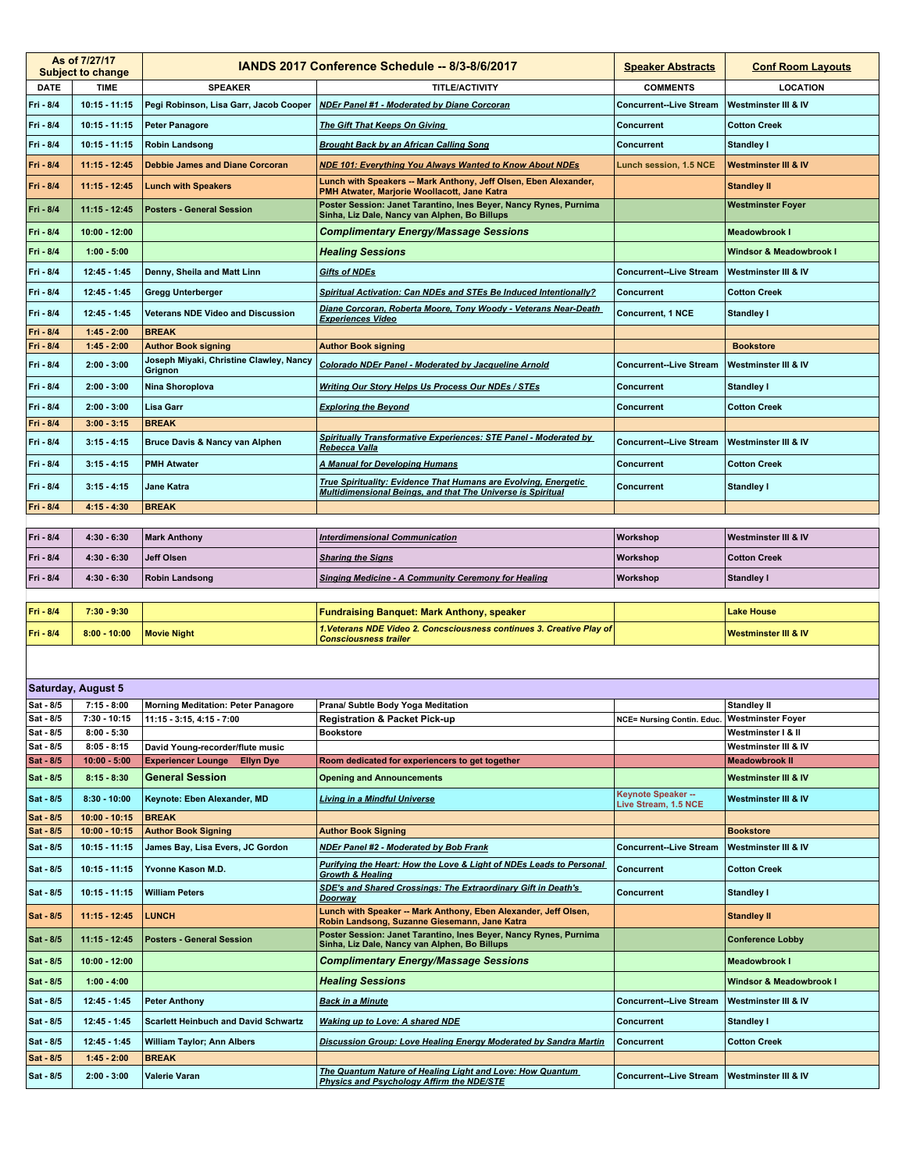|                        | As of 7/27/17<br><b>Subject to change</b> |                                                    | IANDS 2017 Conference Schedule -- 8/3-8/6/2017                                                                                 | <b>Speaker Abstracts</b>                          | <b>Conf Room Layouts</b>           |
|------------------------|-------------------------------------------|----------------------------------------------------|--------------------------------------------------------------------------------------------------------------------------------|---------------------------------------------------|------------------------------------|
| <b>DATE</b>            | <b>TIME</b>                               | <b>SPEAKER</b>                                     | <b>TITLE/ACTIVITY</b>                                                                                                          | <b>COMMENTS</b>                                   | <b>LOCATION</b>                    |
| Fri - 8/4              | $10:15 - 11:15$                           | Pegi Robinson, Lisa Garr, Jacob Cooper             | NDEr Panel #1 - Moderated by Diane Corcoran                                                                                    | <b>Concurrent--Live Stream</b>                    | Westminster III & IV               |
| Fri - 8/4              | 10:15 - 11:15                             | <b>Peter Panagore</b>                              | <b>The Gift That Keeps On Giving</b>                                                                                           | Concurrent                                        | <b>Cotton Creek</b>                |
| Fri - 8/4              | $10:15 - 11:15$                           | <b>Robin Landsong</b>                              | <b>Brought Back by an African Calling Song</b>                                                                                 | <b>Concurrent</b>                                 | <b>Standley I</b>                  |
| Fri - 8/4              | 11:15 - 12:45                             | <b>Debbie James and Diane Corcoran</b>             | <b>NDE 101: Everything You Always Wanted to Know About NDEs</b>                                                                | Lunch session, 1.5 NCE                            | <b>Westminster III &amp; IV</b>    |
| Fri - 8/4              | 11:15 - 12:45                             | <b>Lunch with Speakers</b>                         | Lunch with Speakers -- Mark Anthony, Jeff Olsen, Eben Alexander,<br>PMH Atwater, Marjorie Woollacott, Jane Katra               |                                                   | <b>Standley II</b>                 |
| Fri - 8/4              | $11:15 - 12:45$                           | <b>Posters - General Session</b>                   | Poster Session: Janet Tarantino, Ines Beyer, Nancy Rynes, Purnima<br>Sinha, Liz Dale, Nancy van Alphen, Bo Billups             |                                                   | <b>Westminster Foyer</b>           |
| Fri - 8/4              | $10:00 - 12:00$                           |                                                    | <b>Complimentary Energy/Massage Sessions</b>                                                                                   |                                                   | <b>Meadowbrook I</b>               |
| Fri - 8/4              | $1:00 - 5:00$                             |                                                    | <b>Healing Sessions</b>                                                                                                        |                                                   | <b>Windsor &amp; Meadowbrook I</b> |
| Fri - 8/4              | 12:45 1:45                                | Denny, Sheila and Matt Linn                        | <b>Gifts of NDEs</b>                                                                                                           | <b>Concurrent--Live Stream</b>                    | Westminster III & IV               |
| Fri - 8/4              | 12:45 1:45                                | Gregg Unterberger                                  | Spiritual Activation: Can NDEs and STEs Be Induced Intentionally?                                                              | Concurrent                                        | <b>Cotton Creek</b>                |
| Fri - 8/4              | 12:45 - 1:45                              | Veterans NDE Video and Discussion                  | Diane Corcoran, Roberta Moore, Tony Woody - Veterans Near-Death<br><b>Experiences Video</b>                                    | <b>Concurrent, 1 NCE</b>                          | <b>Standley I</b>                  |
| Fri - 8/4              | $1:45 - 2:00$                             | <b>BREAK</b>                                       |                                                                                                                                |                                                   |                                    |
| Fri - 8/4              | $1:45 - 2:00$                             | <b>Author Book signing</b>                         | <b>Author Book signing</b>                                                                                                     |                                                   | <b>Bookstore</b>                   |
| Fri - 8/4              | $2:00 - 3:00$                             | Joseph Miyaki, Christine Clawley, Nancy<br>Grignon | <b>Colorado NDEr Panel - Moderated by Jacqueline Arnold</b>                                                                    | <b>Concurrent--Live Stream</b>                    | Westminster III & IV               |
| Fri - 8/4              | $2:00 - 3:00$                             | Nina Shoroplova                                    | <b>Writing Our Story Helps Us Process Our NDEs / STEs</b>                                                                      | Concurrent                                        | <b>Standley I</b>                  |
| Fri - 8/4              | $2:00 - 3:00$                             | Lisa Garr                                          | <b>Exploring the Beyond</b>                                                                                                    | Concurrent                                        | <b>Cotton Creek</b>                |
| Fri - 8/4              | $3:00 - 3:15$                             | <b>BREAK</b>                                       |                                                                                                                                |                                                   |                                    |
| Fri - 8/4              | $3:15 - 4:15$                             | Bruce Davis & Nancy van Alphen                     | Spiritually Transformative Experiences: STE Panel - Moderated by<br><u>Rebecca Valla</u>                                       | <b>Concurrent--Live Stream</b>                    | <b>Westminster III &amp; IV</b>    |
| Fri - 8/4              | $3:15 - 4:15$                             | <b>PMH Atwater</b>                                 | <b>A Manual for Developing Humans</b>                                                                                          | Concurrent                                        | <b>Cotton Creek</b>                |
| Fri - 8/4              | $3:15 - 4:15$                             | <b>Jane Katra</b>                                  | True Spirituality: Evidence That Humans are Evolving, Energetic<br>Multidimensional Beings, and that The Universe is Spiritual | Concurrent                                        | <b>Standley I</b>                  |
| Fri - 8/4              | $4:15 - 4:30$                             | <b>BREAK</b>                                       |                                                                                                                                |                                                   |                                    |
|                        |                                           |                                                    |                                                                                                                                |                                                   |                                    |
| Fri - 8/4              | $4:30 - 6:30$                             | <b>Mark Anthony</b>                                | <b>Interdimensional Communication</b>                                                                                          | Workshop                                          | <b>Westminster III &amp; IV</b>    |
| Fri - 8/4              | $4:30 - 6:30$                             | <b>Jeff Olsen</b>                                  | <b>Sharing the Signs</b>                                                                                                       | Workshop                                          | <b>Cotton Creek</b>                |
| Fri - 8/4              | $4:30 - 6:30$                             | <b>Robin Landsong</b>                              | <b>Singing Medicine - A Community Ceremony for Healing</b>                                                                     | Workshop                                          | <b>Standley I</b>                  |
|                        |                                           |                                                    |                                                                                                                                |                                                   |                                    |
| Fri - 8/4              | $7:30 - 9:30$                             |                                                    | <b>Fundraising Banquet: Mark Anthony, speaker</b>                                                                              |                                                   | <b>Lake House</b>                  |
| Fri - 8/4              | $8:00 - 10:00$                            | <b>Movie Night</b>                                 | 1. Veterans NDE Video 2. Concsciousness continues 3. Creative Play of<br><b>Consciousness trailer</b>                          |                                                   | <b>Westminster III &amp; IV</b>    |
|                        |                                           |                                                    |                                                                                                                                |                                                   |                                    |
|                        |                                           |                                                    |                                                                                                                                |                                                   |                                    |
|                        | Saturday, August 5                        |                                                    |                                                                                                                                |                                                   |                                    |
| Sat - 8/5              | $7:15 - 8:00$                             | <b>Morning Meditation: Peter Panagore</b>          | Prana/ Subtle Body Yoga Meditation<br><b>Registration &amp; Packet Pick-up</b>                                                 |                                                   | <b>Standley II</b>                 |
| Sat - 8/5<br>Sat - 8/5 | 7:30 - 10:15<br>$8:00 - 5:30$             | $11:15 - 3:15, 4:15 - 7:00$                        | <b>Bookstore</b>                                                                                                               | NCE= Nursing Contin. Educ. Westminster Foyer      | Westminster I & II                 |
| Sat - 8/5              | $8:05 - 8:15$                             | David Young-recorder/flute music                   |                                                                                                                                |                                                   | Westminster III & IV               |
| Sat - 8/5              | $10:00 - 5:00$                            | <b>Experiencer Lounge</b><br><b>Ellyn Dye</b>      | Room dedicated for experiencers to get together                                                                                |                                                   | <b>Meadowbrook II</b>              |
| Sat - 8/5              | $8:15 - 8:30$                             | <b>General Session</b>                             | <b>Opening and Announcements</b>                                                                                               |                                                   | Westminster III & IV               |
| Sat - 8/5              | $8:30 - 10:00$                            | Keynote: Eben Alexander, MD                        | <b>Living in a Mindful Universe</b>                                                                                            | <b>Keynote Speaker --</b><br>Live Stream, 1.5 NCE | <b>Westminster III &amp; IV</b>    |
| Sat - 8/5              | $10:00 - 10:15$                           | <b>BREAK</b>                                       |                                                                                                                                |                                                   |                                    |
| Sat - 8/5              | $10:00 - 10:15$                           | <b>Author Book Signing</b>                         | <b>Author Book Signing</b>                                                                                                     |                                                   | <b>Bookstore</b>                   |
| Sat - 8/5              | 10:15 11:15                               | James Bay, Lisa Evers, JC Gordon                   | NDEr Panel #2 - Moderated by Bob Frank                                                                                         | <b>Concurrent--Live Stream</b>                    | Westminster III & IV               |
| Sat - 8/5              | 10:15 11:15                               | Yvonne Kason M.D.                                  | Purifying the Heart: How the Love & Light of NDEs Leads to Personal<br><b>Growth &amp; Healing</b>                             | Concurrent                                        | <b>Cotton Creek</b>                |
| Sat - 8/5              | 10:15 11:15                               | <b>William Peters</b>                              | SDE's and Shared Crossings: The Extraordinary Gift in Death's<br><b>Doorway</b>                                                | Concurrent                                        | Standley I                         |
| Sat - 8/5              | 11:15 12:45                               | LUNCH                                              | Lunch with Speaker -- Mark Anthony, Eben Alexander, Jeff Olsen,<br>Robin Landsong, Suzanne Giesemann, Jane Katra               |                                                   | <b>Standley II</b>                 |
| Sat - 8/5              | 11:15 - 12:45                             | <b>Posters - General Session</b>                   | Poster Session: Janet Tarantino, Ines Beyer, Nancy Rynes, Purnima<br>Sinha, Liz Dale, Nancy van Alphen, Bo Billups             |                                                   | <b>Conference Lobby</b>            |
| Sat - 8/5              | $10:00 - 12:00$                           |                                                    | <b>Complimentary Energy/Massage Sessions</b>                                                                                   |                                                   | <b>Meadowbrook I</b>               |
| Sat - 8/5              | $1:00 - 4:00$                             |                                                    | <b>Healing Sessions</b>                                                                                                        |                                                   | Windsor & Meadowbrook I            |
| Sat - 8/5              | $12:45 - 1:45$                            | <b>Peter Anthony</b>                               | <b>Back in a Minute</b>                                                                                                        | <b>Concurrent--Live Stream</b>                    | Westminster III & IV               |
| Sat - 8/5              | 12:45 1:45                                | <b>Scarlett Heinbuch and David Schwartz</b>        | <b>Waking up to Love: A shared NDE</b>                                                                                         | <b>Concurrent</b>                                 | <b>Standley I</b>                  |
| Sat - 8/5              | $12:45 - 1:45$                            | William Taylor; Ann Albers                         | Discussion Group: Love Healing Energy Moderated by Sandra Martin                                                               | Concurrent                                        | <b>Cotton Creek</b>                |
| Sat - 8/5              | $1:45 - 2:00$                             | <b>BREAK</b>                                       |                                                                                                                                |                                                   |                                    |
| Sat - 8/5              | $2:00 - 3:00$                             | Valerie Varan                                      | The Quantum Nature of Healing Light and Love: How Quantum<br><b>Physics and Psychology Affirm the NDE/STE</b>                  | <b>Concurrent--Live Stream</b>                    | Westminster III & IV               |